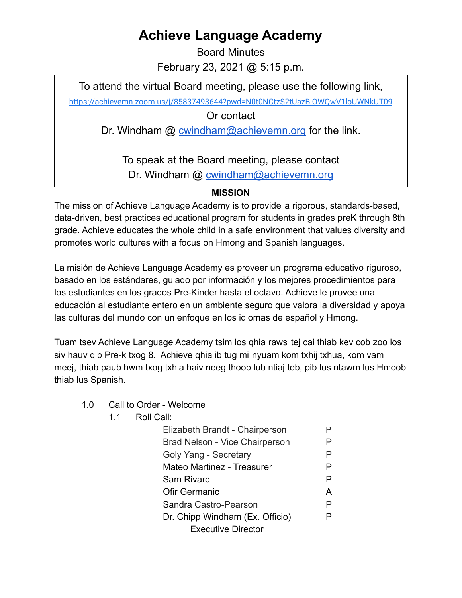## **Achieve Language Academy**

Board Minutes February 23, 2021 @ 5:15 p.m.

To attend the virtual Board meeting, please use the following link,

<https://achievemn.zoom.us/j/85837493644?pwd=N0t0NCtzS2tUazBjOWQwV1loUWNkUT09>

Or contact

Dr. Windham @ [cwindham@achievemn.org](mailto:cwindham@achievemn.org) for the link.

To speak at the Board meeting, please contact Dr. Windham @ [cwindham@achievemn.org](mailto:cwindham@achievemn.org)

## **MISSION**

The mission of Achieve Language Academy is to provide a rigorous, standards-based, data-driven, best practices educational program for students in grades preK through 8th grade. Achieve educates the whole child in a safe environment that values diversity and promotes world cultures with a focus on Hmong and Spanish languages.

La misión de Achieve Language Academy es proveer un programa educativo riguroso, basado en los estándares, guiado por información y los mejores procedimientos para los estudiantes en los grados Pre-Kinder hasta el octavo. Achieve le provee una educación al estudiante entero en un ambiente seguro que valora la diversidad y apoya las culturas del mundo con un enfoque en los idiomas de español y Hmong.

Tuam tsev Achieve Language Academy tsim los qhia raws tej cai thiab kev cob zoo los siv hauv qib Pre-k txog 8. Achieve qhia ib tug mi nyuam kom txhij txhua, kom vam meej, thiab paub hwm txog txhia haiv neeg thoob lub ntiaj teb, pib los ntawm lus Hmoob thiab lus Spanish.

- 1.0 Call to Order Welcome
	- 1.1 Roll Call:

| Elizabeth Brandt - Chairperson        |   |
|---------------------------------------|---|
| <b>Brad Nelson - Vice Chairperson</b> | P |
| Goly Yang - Secretary                 | P |
| Mateo Martinez - Treasurer            | P |
| Sam Rivard                            | P |
| Ofir Germanic                         | A |
| Sandra Castro-Pearson                 | P |
| Dr. Chipp Windham (Ex. Officio)       | P |
| <b>Executive Director</b>             |   |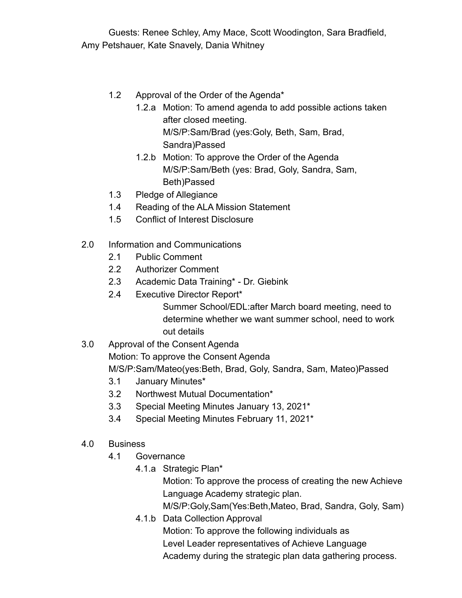Guests: Renee Schley, Amy Mace, Scott Woodington, Sara Bradfield, Amy Petshauer, Kate Snavely, Dania Whitney

- 1.2 Approval of the Order of the Agenda\*
	- 1.2.a Motion: To amend agenda to add possible actions taken after closed meeting. M/S/P:Sam/Brad (yes:Goly, Beth, Sam, Brad, Sandra)Passed
		- 1.2.b Motion: To approve the Order of the Agenda M/S/P:Sam/Beth (yes: Brad, Goly, Sandra, Sam, Beth)Passed
- 1.3 Pledge of Allegiance
- 1.4 Reading of the ALA Mission Statement
- 1.5 Conflict of Interest Disclosure
- 2.0 Information and Communications
	- 2.1 Public Comment
	- 2.2 Authorizer Comment
	- 2.3 Academic Data Training\* Dr. Giebink
	- 2.4 Executive Director Report\*

Summer School/EDL:after March board meeting, need to determine whether we want summer school, need to work out details

- 3.0 Approval of the Consent Agenda Motion: To approve the Consent Agenda M/S/P:Sam/Mateo(yes:Beth, Brad, Goly, Sandra, Sam, Mateo)Passed
	- 3.1 January Minutes\*
	- 3.2 Northwest Mutual Documentation\*
	- 3.3 Special Meeting Minutes January 13, 2021\*
	- 3.4 Special Meeting Minutes February 11, 2021\*
- 4.0 Business
	- 4.1 Governance
		- 4.1.a Strategic Plan\*

Motion: To approve the process of creating the new Achieve Language Academy strategic plan.

M/S/P:Goly,Sam(Yes:Beth,Mateo, Brad, Sandra, Goly, Sam)

4.1.b Data Collection Approval Motion: To approve the following individuals as Level Leader representatives of Achieve Language Academy during the strategic plan data gathering process.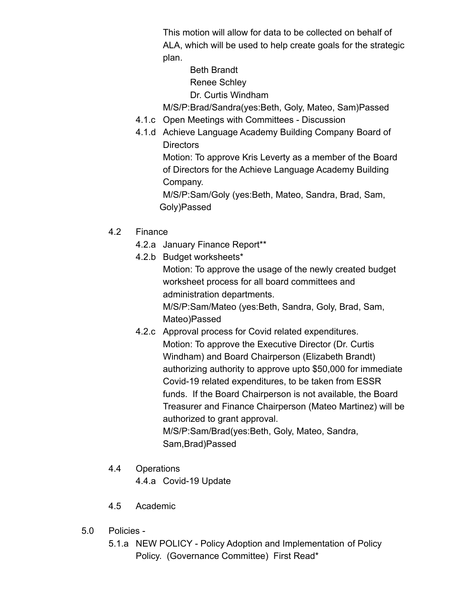This motion will allow for data to be collected on behalf of ALA, which will be used to help create goals for the strategic plan.

Beth Brandt

Renee Schley

Dr. Curtis Windham

M/S/P:Brad/Sandra(yes:Beth, Goly, Mateo, Sam)Passed

- 4.1.c Open Meetings with Committees Discussion
- 4.1.d Achieve Language Academy Building Company Board of **Directors**

Motion: To approve Kris Leverty as a member of the Board of Directors for the Achieve Language Academy Building Company.

M/S/P:Sam/Goly (yes:Beth, Mateo, Sandra, Brad, Sam, Goly)Passed

- 4.2 Finance
	- 4.2.a January Finance Report\*\*
	- 4.2.b Budget worksheets\*

Motion: To approve the usage of the newly created budget worksheet process for all board committees and administration departments.

M/S/P:Sam/Mateo (yes:Beth, Sandra, Goly, Brad, Sam, Mateo)Passed

4.2.c Approval process for Covid related expenditures. Motion: To approve the Executive Director (Dr. Curtis Windham) and Board Chairperson (Elizabeth Brandt) authorizing authority to approve upto \$50,000 for immediate Covid-19 related expenditures, to be taken from ESSR funds. If the Board Chairperson is not available, the Board Treasurer and Finance Chairperson (Mateo Martinez) will be authorized to grant approval. M/S/P:Sam/Brad(yes:Beth, Goly, Mateo, Sandra,

Sam,Brad)Passed

4.4 Operations

4.4.a Covid-19 Update

- 4.5 Academic
- 5.0 Policies
	- 5.1.a NEW POLICY Policy Adoption and Implementation of Policy Policy. (Governance Committee) First Read\*